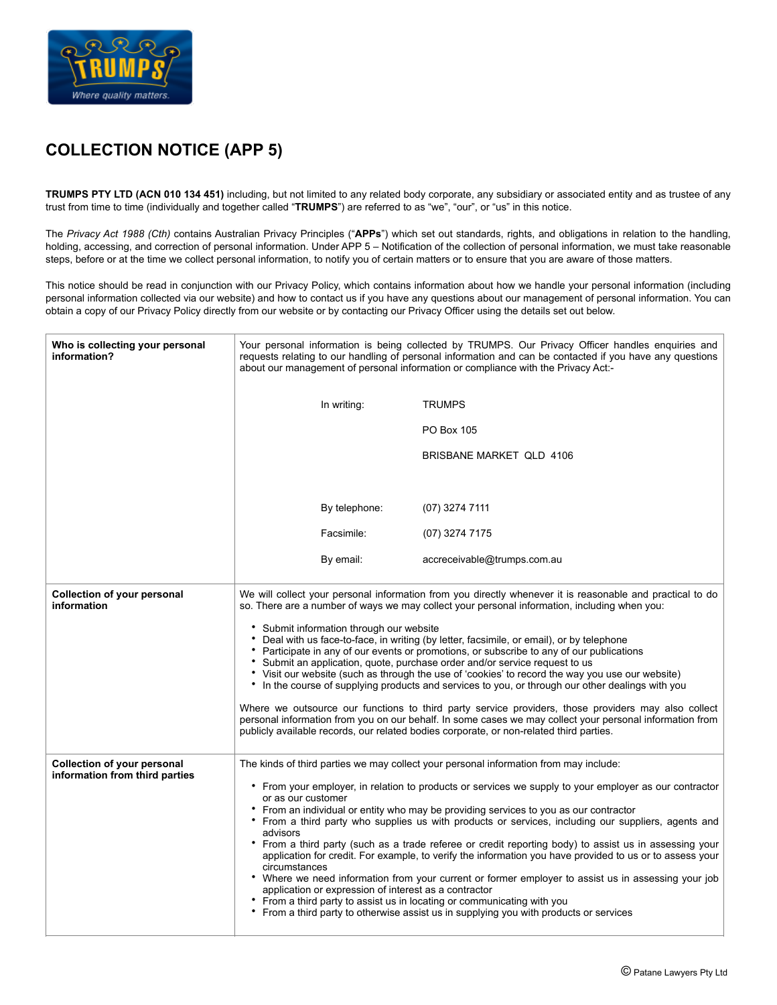

## **COLLECTION NOTICE (APP 5)**

**TRUMPS PTY LTD (ACN 010 134 451)** including, but not limited to any related body corporate, any subsidiary or associated entity and as trustee of any trust from time to time (individually and together called "**TRUMPS**") are referred to as "we", "our", or "us" in this notice.

The *Privacy Act 1988 (Cth)* contains Australian Privacy Principles ("**APPs**") which set out standards, rights, and obligations in relation to the handling, holding, accessing, and correction of personal information. Under APP 5 – Notification of the collection of personal information, we must take reasonable steps, before or at the time we collect personal information, to notify you of certain matters or to ensure that you are aware of those matters.

This notice should be read in conjunction with our Privacy Policy, which contains information about how we handle your personal information (including personal information collected via our website) and how to contact us if you have any questions about our management of personal information. You can obtain a copy of our Privacy Policy directly from our website or by contacting our Privacy Officer using the details set out below.

| Who is collecting your personal<br>information?                      | Your personal information is being collected by TRUMPS. Our Privacy Officer handles enquiries and<br>requests relating to our handling of personal information and can be contacted if you have any questions<br>about our management of personal information or compliance with the Privacy Act:-                                                                                                                                                                                                                                                                                                                                                                                                                                                                                                                                                                                                                                                                                                                                                  |                             |
|----------------------------------------------------------------------|-----------------------------------------------------------------------------------------------------------------------------------------------------------------------------------------------------------------------------------------------------------------------------------------------------------------------------------------------------------------------------------------------------------------------------------------------------------------------------------------------------------------------------------------------------------------------------------------------------------------------------------------------------------------------------------------------------------------------------------------------------------------------------------------------------------------------------------------------------------------------------------------------------------------------------------------------------------------------------------------------------------------------------------------------------|-----------------------------|
|                                                                      | In writing:                                                                                                                                                                                                                                                                                                                                                                                                                                                                                                                                                                                                                                                                                                                                                                                                                                                                                                                                                                                                                                         | <b>TRUMPS</b>               |
|                                                                      |                                                                                                                                                                                                                                                                                                                                                                                                                                                                                                                                                                                                                                                                                                                                                                                                                                                                                                                                                                                                                                                     | PO Box 105                  |
|                                                                      |                                                                                                                                                                                                                                                                                                                                                                                                                                                                                                                                                                                                                                                                                                                                                                                                                                                                                                                                                                                                                                                     | BRISBANE MARKET QLD 4106    |
|                                                                      |                                                                                                                                                                                                                                                                                                                                                                                                                                                                                                                                                                                                                                                                                                                                                                                                                                                                                                                                                                                                                                                     |                             |
|                                                                      | By telephone:                                                                                                                                                                                                                                                                                                                                                                                                                                                                                                                                                                                                                                                                                                                                                                                                                                                                                                                                                                                                                                       | $(07)$ 3274 7111            |
|                                                                      | Facsimile:                                                                                                                                                                                                                                                                                                                                                                                                                                                                                                                                                                                                                                                                                                                                                                                                                                                                                                                                                                                                                                          | (07) 3274 7175              |
|                                                                      | By email:                                                                                                                                                                                                                                                                                                                                                                                                                                                                                                                                                                                                                                                                                                                                                                                                                                                                                                                                                                                                                                           | accreceivable@trumps.com.au |
| <b>Collection of your personal</b><br>information                    | We will collect your personal information from you directly whenever it is reasonable and practical to do<br>so. There are a number of ways we may collect your personal information, including when you:<br>• Submit information through our website<br>* Deal with us face-to-face, in writing (by letter, facsimile, or email), or by telephone<br>• Participate in any of our events or promotions, or subscribe to any of our publications<br>• Submit an application, quote, purchase order and/or service request to us<br>Visit our website (such as through the use of 'cookies' to record the way you use our website)<br>• In the course of supplying products and services to you, or through our other dealings with you<br>Where we outsource our functions to third party service providers, those providers may also collect<br>personal information from you on our behalf. In some cases we may collect your personal information from<br>publicly available records, our related bodies corporate, or non-related third parties. |                             |
| <b>Collection of your personal</b><br>information from third parties | The kinds of third parties we may collect your personal information from may include:<br>• From your employer, in relation to products or services we supply to your employer as our contractor<br>or as our customer<br>• From an individual or entity who may be providing services to you as our contractor<br>• From a third party who supplies us with products or services, including our suppliers, agents and<br>advisors<br>• From a third party (such as a trade referee or credit reporting body) to assist us in assessing your<br>application for credit. For example, to verify the information you have provided to us or to assess your<br>circumstances<br>• Where we need information from your current or former employer to assist us in assessing your job<br>application or expression of interest as a contractor<br>• From a third party to assist us in locating or communicating with you<br>• From a third party to otherwise assist us in supplying you with products or services                                       |                             |